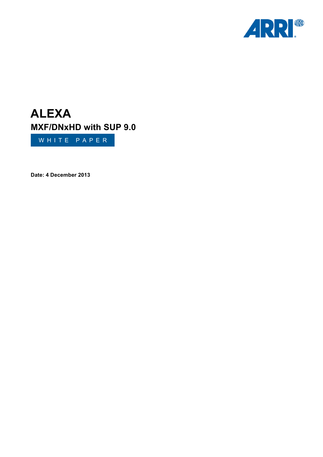

# **ALEXA MXF/DNxHD with SUP 9.0**

WHITE PAPER

**Date: 4 December 2013**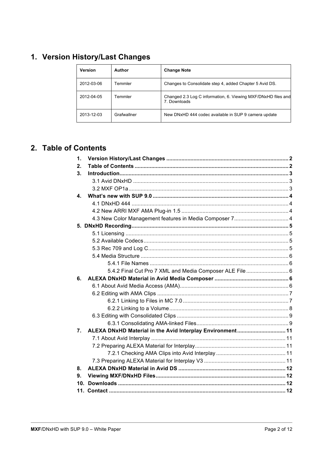# 1. Version History/Last Changes

| <b>Version</b> | Author      | <b>Change Note</b>                                                           |
|----------------|-------------|------------------------------------------------------------------------------|
| 2012-03-06     | Temmler     | Changes to Consolidate step 4, added Chapter 5 Avid DS.                      |
| 2012-04-05     | Temmler     | Changed 2.3 Log C information, 6. Viewing MXF/DNxHD files and<br>7 Downloads |
| 2013-12-03     | Grafwallner | New DNxHD 444 codec available in SUP 9 camera update                         |

# 2. Table of Contents

| $\mathbf 1$ |                                                           |  |
|-------------|-----------------------------------------------------------|--|
| 2.          |                                                           |  |
| 3.          |                                                           |  |
|             |                                                           |  |
|             |                                                           |  |
| 4.          |                                                           |  |
|             |                                                           |  |
|             |                                                           |  |
|             |                                                           |  |
|             |                                                           |  |
|             |                                                           |  |
|             |                                                           |  |
|             |                                                           |  |
|             |                                                           |  |
|             |                                                           |  |
|             | 5.4.2 Final Cut Pro 7 XML and Media Composer ALE File  6  |  |
| 6.          |                                                           |  |
|             |                                                           |  |
|             |                                                           |  |
|             |                                                           |  |
|             |                                                           |  |
|             |                                                           |  |
|             |                                                           |  |
|             |                                                           |  |
| 7.          | ALEXA DNxHD Material in the Avid Interplay Environment 11 |  |
|             |                                                           |  |
|             |                                                           |  |
|             |                                                           |  |
|             |                                                           |  |
| 8.          |                                                           |  |
| 9.          |                                                           |  |
|             |                                                           |  |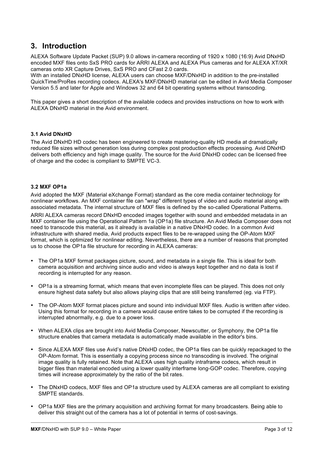### **3. Introduction**

ALEXA Software Update Packet (SUP) 9.0 allows in-camera recording of 1920 x 1080 (16:9) Avid DNxHD encoded MXF files onto SxS PRO cards for ARRI ALEXA and ALEXA Plus cameras and for ALEXA XT/XR cameras onto XR Capture Drives, SxS PRO and CFast 2.0 cards.

With an installed DNxHD license, ALEXA users can choose MXF/DNxHD in addition to the pre-installed QuickTime/ProRes recording codecs. ALEXA's MXF/DNxHD material can be edited in Avid Media Composer Version 5.5 and later for Apple and Windows 32 and 64 bit operating systems without transcoding.

This paper gives a short description of the available codecs and provides instructions on how to work with ALEXA DNxHD material in the Avid environment.

#### **3.1 Avid DNxHD**

The Avid DNxHD HD codec has been engineered to create mastering-quality HD media at dramatically reduced file sizes without generation loss during complex post production effects processing. Avid DNxHD delivers both efficiency and high image quality. The source for the Avid DNxHD codec can be licensed free of charge and the codec is compliant to SMPTE VC-3.

#### **3.2 MXF OP1a**

Avid adopted the MXF (Material eXchange Format) standard as the core media container technology for nonlinear workflows. An MXF container file can "wrap" different types of video and audio material along with associated metadata. The internal structure of MXF files is defined by the so-called Operational Patterns. ARRI ALEXA cameras record DNxHD encoded images together with sound and embedded metadata in an MXF container file using the Operational Pattern 1a (OP1a) file structure. An Avid Media Composer does not need to transcode this material, as it already is available in a native DNxHD codec. In a common Avid infrastructure with shared media, Avid products expect files to be re-wrapped using the OP-Atom MXF format, which is optimized for nonlinear editing. Nevertheless, there are a number of reasons that prompted us to choose the OP1a file structure for recording in ALEXA cameras:

- The OP1a MXF format packages picture, sound, and metadata in a single file. This is ideal for both camera acquisition and archiving since audio and video is always kept together and no data is lost if recording is interrupted for any reason.
- OP1a is a streaming format, which means that even incomplete files can be played. This does not only ensure highest data safety but also allows playing clips that are still being transferred (eg. via FTP).
- The OP-Atom MXF format places picture and sound into individual MXF files. Audio is written after video. Using this format for recording in a camera would cause entire takes to be corrupted if the recording is interrupted abnormally, e.g. due to a power loss.
- When ALEXA clips are brought into Avid Media Composer, Newscutter, or Symphony, the OP1a file structure enables that camera metadata is automatically made available in the editor's bins.
- Since ALEXA MXF files use Avid's native DNxHD codec, the OP1a files can be quickly repackaged to the OP-Atom format. This is essentially a copying process since no transcoding is involved. The original image quality is fully retained. Note that ALEXA uses high quality intraframe codecs, which result in bigger files than material encoded using a lower quality interframe long-GOP codec. Therefore, copying times will increase approximately by the ratio of the bit rates.
- The DNxHD codecs, MXF files and OP1a structure used by ALEXA cameras are all compliant to existing SMPTE standards.
- OP1a MXF files are the primary acquisition and archiving format for many broadcasters. Being able to deliver this straight out of the camera has a lot of potential in terms of cost-savings.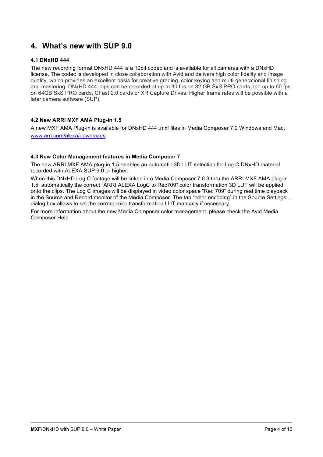### **4. What's new with SUP 9.0**

#### **4.1 DNxHD 444**

The new recording format DNxHD 444 is a 10bit codec and is available for all cameras with a DNxHD license. The codec is developed in close collaboration with Avid and delivers high color fidelity and image quality, which provides an excellent basis for creative grading, color keying and multi-generational finishing and mastering. DNxHD 444 clips can be recorded at up to 30 fps on 32 GB SxS PRO cards and up to 60 fps on 64GB SxS PRO cards, CFast 2.0 cards or XR Capture Drives. Higher frame rates will be possible with a later camera software (SUP).

#### **4.2 New ARRI MXF AMA Plug-in 1.5**

A new MXF AMA Plug-in is available for DNxHD 444 .mxf files in Media Composer 7.0 Windows and Mac. www.arri.com/alexa/downloads.

#### **4.3 New Color Management features in Media Composer 7**

The new ARRI MXF AMA plug-in 1.5 enables an automatic 3D LUT selection for Log C DNxHD material recorded with ALEXA SUP 9.0 or higher.

When this DNxHD Log C footage will be linked into Media Composer 7.0.3 thru the ARRI MXF AMA plug-in 1.5, automatically the correct "ARRI ALEXA LogC to Rec709" color transformation 3D LUT will be applied onto the clips. The Log C images will be displayed in video color space "Rec 709" during real time playback in the Source and Record monitor of the Media Composer. The tab "color encoding" in the Source Settings… dialog box allows to set the correct color transformation LUT manually if necessary.

For more information about the new Media Composer color management, please check the Avid Media Composer Help.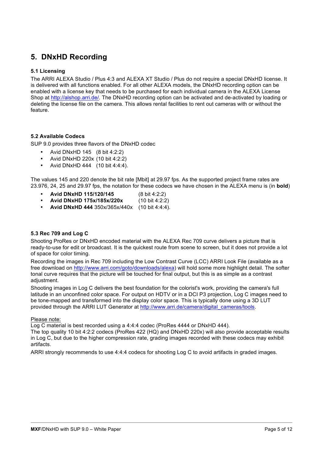# **5. DNxHD Recording**

#### **5.1 Licensing**

The ARRI ALEXA Studio / Plus 4:3 and ALEXA XT Studio / Plus do not require a special DNxHD license. It is delivered with all functions enabled. For all other ALEXA models, the DNxHD recording option can be enabled with a license key that needs to be purchased for each individual camera in the ALEXA License Shop at http://alshop.arri.de/. The DNxHD recording option can be activated and de-activated by loading or deleting the license file on the camera. This allows rental facilities to rent out cameras with or without the feature.

#### **5.2 Available Codecs**

SUP 9.0 provides three flavors of the DNxHD codec

- Avid DNxHD 145 (8 bit 4:2:2)
- Avid DNxHD 220x (10 bit 4:2:2)
- Avid DNxHD 444 (10 bit 4:4:4).

The values 145 and 220 denote the bit rate [Mbit] at 29.97 fps. As the supported project frame rates are 23.976, 24, 25 and 29.97 fps, the notation for these codecs we have chosen in the ALEXA menu is (in **bold**)

- **Avid DNxHD 115/120/145** (8 bit 4:2:2)
- **Avid DNxHD 175x/185x/220x** (10 bit 4:2:2)
- **Avid DNxHD 444** 350x/365x/440x (10 bit 4:4:4).

#### **5.3 Rec 709 and Log C**

Shooting ProRes or DNxHD encoded material with the ALEXA Rec 709 curve delivers a picture that is ready-to-use for edit or broadcast. It is the quickest route from scene to screen, but it does not provide a lot of space for color timing.

Recording the images in Rec 709 including the Low Contrast Curve (LCC) ARRI Look File (available as a free download on http://www.arri.com/goto/downloads/alexa) will hold some more highlight detail. The softer tonal curve requires that the picture will be touched for final output, but this is as simple as a contrast adiustment.

Shooting images in Log C delivers the best foundation for the colorist's work, providing the camera's full latitude in an unconfined color space. For output on HDTV or in a DCI P3 projection, Log C images need to be tone-mapped and transformed into the display color space. This is typically done using a 3D LUT provided through the ARRI LUT Generator at http://www.arri.de/camera/digital\_cameras/tools.

#### Please note:

Log C material is best recorded using a 4:4:4 codec (ProRes 4444 or DNxHD 444).

The top quality 10 bit 4:2:2 codecs (ProRes 422 (HQ) and DNxHD 220x) will also provide acceptable results in Log C, but due to the higher compression rate, grading images recorded with these codecs may exhibit artifacts.

ARRI strongly recommends to use 4:4:4 codecs for shooting Log C to avoid artifacts in graded images.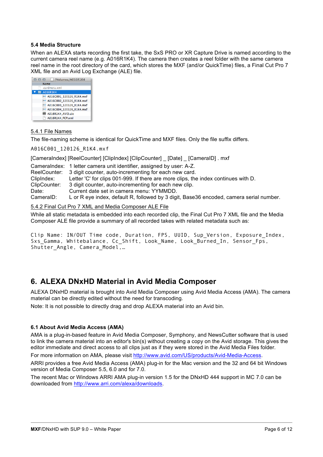#### **5.4 Media Structure**

When an ALEXA starts recording the first take, the SxS PRO or XR Capture Drive is named according to the current camera reel name (e.g. A016R1K4). The camera then creates a reel folder with the same camera reel name in the root directory of the card, which stores the MXF (and/or QuickTime) files, a Final Cut Pro 7 XML file and an Avid Log Exchange (ALE) file.



#### 5.4.1 File Names

The file-naming scheme is identical for QuickTime and MXF files. Only the file suffix differs.

A016C001\_120126\_R1K4.mxf

[CameraIndex] [ReelCounter] [ClipIndex] [ClipCounter] \_ [Date] \_ [CameraID] . mxf

|              | Cameralndex: 1 letter camera unit identifier, assigned by user: A-Z.                    |
|--------------|-----------------------------------------------------------------------------------------|
|              | ReelCounter: 3 digit counter, auto-incrementing for each new card.                      |
| ClipIndex:   | Letter 'C' for clips 001-999. If there are more clips, the index continues with D.      |
| ClipCounter: | 3 digit counter, auto-incrementing for each new clip.                                   |
| Date:        | Current date set in camera menu: YYMMDD.                                                |
| CameralD:    | L or R eye index, default R, followed by 3 digit, Base36 encoded, camera serial number. |

#### 5.4.2 Final Cut Pro 7 XML and Media Composer ALE File

While all static metadata is embedded into each recorded clip, the Final Cut Pro 7 XML file and the Media Composer ALE file provide a summary of all recorded takes with related metadata such as:

```
Clip Name: IN/OUT Time code, Duration, FPS, UUID, Sup_Version, Exposure_Index, 
Sxs Gamma, Whitebalance, Cc Shift, Look Name, Look Burned In, Sensor Fps,
Shutter Angle, Camera Model,...
```
### **6. ALEXA DNxHD Material in Avid Media Composer**

ALEXA DNxHD material is brought into Avid Media Composer using Avid Media Access (AMA). The camera material can be directly edited without the need for transcoding.

Note: It is not possible to directly drag and drop ALEXA material into an Avid bin.

#### **6.1 About Avid Media Access (AMA)**

AMA is a plug-in-based feature in Avid Media Composer, Symphony, and NewsCutter software that is used to link the camera material into an editor's bin(s) without creating a copy on the Avid storage. This gives the editor immediate and direct access to all clips just as if they were stored in the Avid Media Files folder.

For more information on AMA, please visit http://www.avid.com/US/products/Avid-Media-Access.

ARRI provides a free Avid Media Access (AMA) plug-in for the Mac version and the 32 and 64 bit Windows version of Media Composer 5.5, 6.0 and for 7.0.

The recent Mac or Windows ARRI AMA plug-in version 1.5 for the DNxHD 444 support in MC 7.0 can be downloaded from http://www.arri.com/alexa/downloads.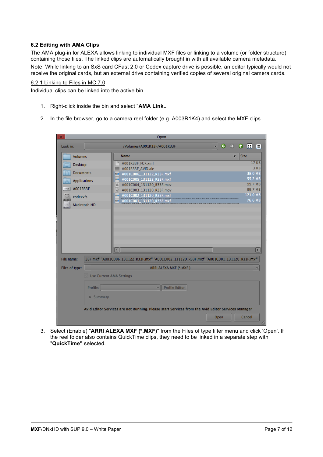#### **6.2 Editing with AMA Clips**

The AMA plug-in for ALEXA allows linking to individual MXF files or linking to a volume (or folder structure) containing those files. The linked clips are automatically brought in with all available camera metadata.

Note: While linking to an SxS card CFast 2.0 or Codex capture drive is possible, an editor typically would not receive the original cards, but an external drive containing verified copies of several original camera cards.

#### 6.2.1 Linking to Files in MC 7.0

Individual clips can be linked into the active bin.

- 1. Right-click inside the bin and select "**AMA Link..**
- 2. In the file browser, go to a camera reel folder (e.g. A003R1K4) and select the MXF clips.

| ж<br>Open                                                                                                                          |                                                       |  |  |  |  |  |  |
|------------------------------------------------------------------------------------------------------------------------------------|-------------------------------------------------------|--|--|--|--|--|--|
| Look in:<br>/Volumes/A001R33F/A001R33F                                                                                             | B<br>Θ<br> ≣ <br>$\overline{\mathbf{v}}$<br>$\bullet$ |  |  |  |  |  |  |
| <b>Name</b><br><b>Volumes</b>                                                                                                      | <b>Size</b><br>τ                                      |  |  |  |  |  |  |
| A001R33F_FCP.xml<br>Desktop                                                                                                        | 17 KB                                                 |  |  |  |  |  |  |
| A001R33F_AVID.ale                                                                                                                  | 3 KB                                                  |  |  |  |  |  |  |
| <b>Documents</b><br>nz# A001C006_131122_R33F.mxf                                                                                   | 38.0 MB                                               |  |  |  |  |  |  |
| mz# A001C005_131122_R33F.mxf<br><b>Applications</b><br>$\Delta_{\rm c}$                                                            | 55,2 MB                                               |  |  |  |  |  |  |
| A001C004_131120_R33F.mov<br>屬<br>SSS A001R33F                                                                                      | 99,7 MB                                               |  |  |  |  |  |  |
| A001C003_131120_R33F.mov<br>癲                                                                                                      | 99,7 MB                                               |  |  |  |  |  |  |
| A001C002_131120_R33F.mxf<br>codexyfs                                                                                               | 171,0 MB                                              |  |  |  |  |  |  |
| az A001C001_131120_R33F.mxf<br>Macintosh HD                                                                                        | 76,6 MB                                               |  |  |  |  |  |  |
| $\left  \cdot \right $<br>File name:<br>(33F.mxf" "A001C006_131122_R33F.mxf" "A001C002_131120_R33F.mxf" "A001C001_131120_R33F.mxf" | $\blacktriangleright$                                 |  |  |  |  |  |  |
| Files of type:<br>ARRI ALEXA MXF (*.MXF)                                                                                           | ÷                                                     |  |  |  |  |  |  |
| <b>Use Current AMA Settings</b>                                                                                                    |                                                       |  |  |  |  |  |  |
| Profile:<br><b>Profile Editor</b><br>÷.                                                                                            |                                                       |  |  |  |  |  |  |
|                                                                                                                                    |                                                       |  |  |  |  |  |  |
| $\blacktriangleright$ Summary                                                                                                      |                                                       |  |  |  |  |  |  |
| Avid Editor Services are not Running. Please start Services from the Avid Editor Services Manager                                  |                                                       |  |  |  |  |  |  |
|                                                                                                                                    | Cancel<br>Open<br>M                                   |  |  |  |  |  |  |

3. Select (Enable) "**ARRI ALEXA MXF (\*.MXF)**" from the Files of type filter menu and click 'Open'. If the reel folder also contains QuickTime clips, they need to be linked in a separate step with "**QuickTime"** selected.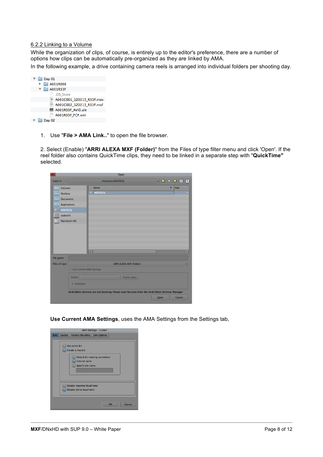#### 6.2.2 Linking to a Volume

While the organization of clips, of course, is entirely up to the editor's preference, there are a number of options how clips can be automatically pre-organized as they are linked by AMA.

In the following example, a drive containing camera reels is arranged into individual folders per shooting day.



1. Use "**File > AMA Link..**" to open the file browser.

2. Select (Enable) "**ARRI ALEXA MXF (Folder)**" from the Files of type filter menu and click 'Open'. If the reel folder also contains QuickTime clips, they need to be linked in a separate step with "**QuickTime"** selected.

| ×                                           |                                                                                                   |                      |                   | Open                           |      |   |                                                                                               |                 |
|---------------------------------------------|---------------------------------------------------------------------------------------------------|----------------------|-------------------|--------------------------------|------|---|-----------------------------------------------------------------------------------------------|-----------------|
| Look in:                                    |                                                                                                   |                      | /Volumes/A001R23J |                                |      |   | $\begin{array}{c} \mathbf{0} & \mathbf{0} & \mathbf{0} & \mathbf{0} & \mathbf{0} \end{array}$ |                 |
| <b>Volumes</b>                              |                                                                                                   | <b>Name</b>          |                   |                                |      | ₹ | Size                                                                                          |                 |
| <b>Desktop</b>                              |                                                                                                   | A001R23J             |                   |                                |      |   |                                                                                               |                 |
|                                             | <b>Documents</b>                                                                                  |                      |                   |                                |      |   |                                                                                               |                 |
| <b>Applications</b><br>$\frac{1}{\sqrt{2}}$ |                                                                                                   |                      |                   |                                |      |   |                                                                                               |                 |
| A001R23J<br><b>SXS</b>                      |                                                                                                   |                      |                   |                                |      |   |                                                                                               |                 |
| codexvfs                                    |                                                                                                   |                      |                   |                                |      |   |                                                                                               |                 |
|                                             | <b>Macintosh HD</b>                                                                               |                      |                   |                                |      |   |                                                                                               |                 |
|                                             |                                                                                                   |                      |                   |                                |      |   |                                                                                               |                 |
|                                             |                                                                                                   |                      |                   |                                |      |   |                                                                                               |                 |
|                                             |                                                                                                   |                      |                   |                                |      |   |                                                                                               |                 |
|                                             |                                                                                                   |                      |                   |                                |      |   |                                                                                               |                 |
|                                             |                                                                                                   | $\overline{\bullet}$ |                   |                                |      |   |                                                                                               | $\boxed{\cdot}$ |
| File name:                                  |                                                                                                   |                      |                   |                                |      |   |                                                                                               |                 |
| Files of type:                              |                                                                                                   |                      |                   | <b>ARRI ALEXA MXF (Folder)</b> |      |   |                                                                                               | ▼               |
|                                             | <b>Use Current AMA Settings</b>                                                                   |                      |                   |                                |      |   |                                                                                               |                 |
|                                             | Profile:                                                                                          |                      | Ψ                 | <b>Profile Editor</b>          |      |   |                                                                                               |                 |
|                                             | <b>Summary</b>                                                                                    |                      |                   |                                |      |   |                                                                                               |                 |
|                                             | Avid Editor Services are not Running. Please start Services from the Avid Editor Services Manager |                      |                   |                                |      |   |                                                                                               |                 |
|                                             |                                                                                                   |                      |                   |                                | Open |   | Cancel                                                                                        |                 |
|                                             |                                                                                                   |                      |                   |                                |      |   |                                                                                               | Ā.              |

**Use Current AMA Settings**, uses the AMA Settings from the Settings tab,

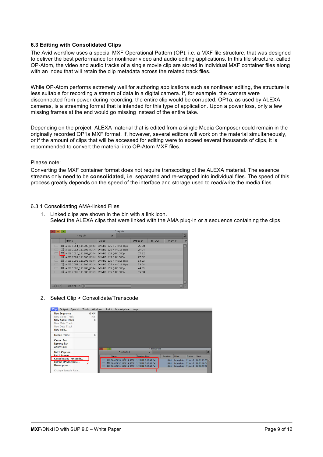#### **6.3 Editing with Consolidated Clips**

The Avid workflow uses a special MXF Operational Pattern (OP), i.e. a MXF file structure, that was designed to deliver the best performance for nonlinear video and audio editing applications. In this file structure, called OP-Atom, the video and audio tracks of a single movie clip are stored in individual MXF container files along with an index that will retain the clip metadata across the related track files.

While OP-Atom performs extremely well for authoring applications such as nonlinear editing, the structure is less suitable for recording a stream of data in a digital camera. If, for example, the camera were disconnected from power during recording, the entire clip would be corrupted. OP1a, as used by ALEXA cameras, is a streaming format that is intended for this type of application. Upon a power loss, only a few missing frames at the end would go missing instead of the entire take.

Depending on the project, ALEXA material that is edited from a single Media Composer could remain in the originally recorded OP1a MXF format. If, however, several editors will work on the material simultaneously, or if the amount of clips that will be accessed for editing were to exceed several thousands of clips, it is recommended to convert the material into OP-Atom MXF files.

#### Please note:

Converting the MXF container format does not require transcoding of the ALEXA material. The essence streams only need to be **consolidated**, i.e. separated and re-wrapped into individual files. The speed of this process greatly depends on the speed of the interface and storage used to read/write the media files.

#### 6.3.1 Consolidating AMA-linked Files

1. Linked clips are shown in the bin with a link icon. Select the ALEXA clips that were linked with the AMA plug-in or a sequence containing the clips.

|        | ÷ | * my bin                                    |                           |  |          |            |         |   |
|--------|---|---------------------------------------------|---------------------------|--|----------|------------|---------|---|
|        |   | * my bin                                    | $\boldsymbol{\mathsf{x}}$ |  |          |            |         | e |
|        |   | N am e                                      | Video                     |  | Duration | $IN - OUT$ | Mark IN | м |
|        |   | E8 A003C014 111208 R1K4                     | DNxHD 175 X (HD 1080p)    |  | 29:08    |            |         | E |
|        |   | EE A00BC013 111208 R1K4                     | DNxHD 175 X (HD 1080p)    |  | 27:04    |            |         |   |
|        |   | E8 A003C010_111208_R1K4 DNxHD 115 (HD1080p) |                           |  | 27:22    |            |         |   |
|        |   | H8 A003C009 111208 R1K4                     | DNxHD 115 (HD 1080p)      |  | 27:02    |            |         |   |
|        |   | HB A003C006 111208 R1K4                     | DNxHD 175 X (HD 1080p)    |  | 33:13    |            |         |   |
| −      |   | E8 A00BC005 111208 R1K4                     | DNxHD 175 X (HD 1080p)    |  | 33:14    |            |         |   |
| $\Box$ |   | HE A00BC002 111208 R1K4 DNxHD 115 (HD1080p) |                           |  | 44:15    |            |         |   |
| ▬      |   | HE A00BC001 111208 R1K4 DNxHD 115 (HD1080p) |                           |  | 35:08    |            |         |   |
|        |   |                                             |                           |  |          |            |         |   |
|        |   |                                             |                           |  |          |            |         |   |
|        |   |                                             |                           |  |          |            |         |   |
| 畐      |   | <b>Untiled</b><br>$\blacksquare$            |                           |  |          |            | п       |   |

2. Select Clip > Consolidate/Transcode.

| Special<br><b>Clip</b><br>Output                                                                                  | Tools | Windows                       | Script | Marketplace                                                                                  | Help                                     |              |                      |                                        |                        |                                                              |
|-------------------------------------------------------------------------------------------------------------------|-------|-------------------------------|--------|----------------------------------------------------------------------------------------------|------------------------------------------|--------------|----------------------|----------------------------------------|------------------------|--------------------------------------------------------------|
| <b>New Sequence</b><br>New Video Track<br><b>New Audio Track</b><br>New Meta Track<br>New Data Track<br>New Title |       | $0$ $H$ $N$<br><b>HX</b><br>ь |        |                                                                                              |                                          |              |                      |                                        |                        |                                                              |
| <b>Freeze Frame</b><br><b>Center Pan</b><br><b>Remove Pan</b>                                                     |       | ь                             |        |                                                                                              |                                          |              |                      |                                        |                        |                                                              |
| <b>Apply Gain</b>                                                                                                 |       |                               | œ<br>- |                                                                                              |                                          | * BackupRaid |                      |                                        |                        |                                                              |
| <b>Batch Capture</b>                                                                                              |       |                               |        | * BackupRaid                                                                                 | $\boldsymbol{\mathsf{x}}$                |              |                      |                                        |                        | $\circ$                                                      |
| Batch Import                                                                                                      |       |                               |        | <b>Name</b>                                                                                  | <b>Creation Date</b>                     |              | <b>Duration</b>      | <b>Drive</b>                           | <b>Tracks</b>          | Start                                                        |
| Consolidate/Transcode<br><b>Extract DNxHD Data</b><br>Decompose                                                   |       |                               | 震      | 篇 D001C053 111215 R33F<br>D001C052_111215_R33F<br>E8 D001C051 111215 R33F 1/26/12 3:52:45 PM | 1/26/12 3:52:45 PM<br>1/26/12 3:52:45 PM |              | 8:01<br>8:01<br>8:01 | <b>BackupRaid</b><br><b>BackupRaid</b> | $VI A1-2$<br>$VI A1-2$ | 00:01:15:03<br>00:01:46:04<br>BackupRaid V1 A1-2 00:00:57:00 |
| Change Sample Rate                                                                                                |       |                               |        |                                                                                              |                                          |              |                      |                                        |                        |                                                              |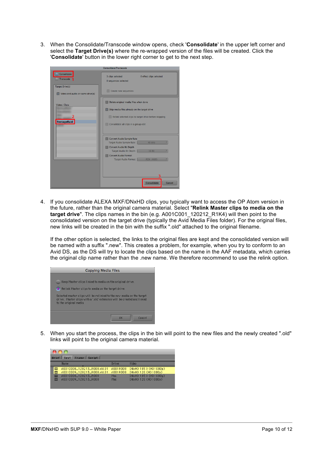3. When the Consolidate/Transcode window opens, check '**Consolidate**' in the upper left corner and select the **Target Drive(s)** where the re-wrapped version of the files will be created. Click the '**Consolidate**' button in the lower right corner to get to the next step.

| Consolidate/Transcode                                      |                                                                            |  |  |  |  |  |
|------------------------------------------------------------|----------------------------------------------------------------------------|--|--|--|--|--|
| Consolidate<br>Transcode                                   | 3 clips selected<br>0 effect clips selected<br><b>O</b> sequences selected |  |  |  |  |  |
| <b>Target Drive(s)</b><br>Video and audio on same drive(s) | Create new sequences                                                       |  |  |  |  |  |
| Video / Data                                               | Delete original media files when done                                      |  |  |  |  |  |
|                                                            | Skip media files already on the target drive                               |  |  |  |  |  |
|                                                            | Relink selected clips to target drive before skipping                      |  |  |  |  |  |
| FootageRaid                                                | Consolidate all clips in a group edit                                      |  |  |  |  |  |
|                                                            |                                                                            |  |  |  |  |  |
|                                                            | <b>Convert Audio Sample Rate</b>                                           |  |  |  |  |  |
|                                                            | 48 kHz<br><b>Target Audio Sample Rate:</b>                                 |  |  |  |  |  |
|                                                            | <b>Convert Audio Bit Depth</b>                                             |  |  |  |  |  |
|                                                            | 16 Bit<br><b>Target Audio Bit Depth:</b>                                   |  |  |  |  |  |
|                                                            | <b>Convert Audio Format</b>                                                |  |  |  |  |  |
|                                                            | <b>Target Audio Format:</b><br>PCM (MXF)                                   |  |  |  |  |  |
|                                                            |                                                                            |  |  |  |  |  |
|                                                            |                                                                            |  |  |  |  |  |
|                                                            |                                                                            |  |  |  |  |  |
|                                                            |                                                                            |  |  |  |  |  |
|                                                            | Consolidate<br>Cancel                                                      |  |  |  |  |  |
|                                                            |                                                                            |  |  |  |  |  |

4. If you consolidate ALEXA MXF/DNxHD clips, you typically want to access the OP Atom version in the future, rather than the original camera material. Select "**Relink Master clips to media on the**  target drive". The clips names in the bin (e.g. A001C001\_120212\_R1K4) will then point to the consolidated version on the target drive (typically the Avid Media Files folder). For the original files, new links will be created in the bin with the suffix ".old" attached to the original filename.

If the other option is selected, the links to the original files are kept and the consolidated version will be named with a suffix ".new". This creates a problem, for example, when you try to conform to an Avid DS, as the DS will try to locate the clips based on the name in the AAF metadata, which carries the original clip name rather than the .new name. We therefore recommend to use the relink option.



5. When you start the process, the clips in the bin will point to the new files and the newly created ".old" links will point to the original camera material.

|        | Brief   Text   Frame<br>Script                             |                      |                                              |  |  |  |  |  |
|--------|------------------------------------------------------------|----------------------|----------------------------------------------|--|--|--|--|--|
|        | <b>Name</b>                                                | Drive                | Video                                        |  |  |  |  |  |
| 眾<br>罵 | A001C008_120213_R008.old.01<br>A001C009_120213_R008.old.01 | A001R008<br>A001R008 | DNxHD 185X (HD1080p)<br>DNxHD 120 (HD1080p)  |  |  |  |  |  |
| 眾<br>贾 | A001C008_120213_R008<br>A001C009_120213_R008               | Mac<br>Mac           | DNxHD 185 X (HD1080p)<br>DNxHD 120 (HD1080p) |  |  |  |  |  |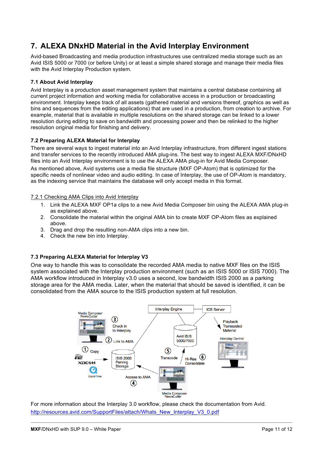# **7. ALEXA DNxHD Material in the Avid Interplay Environment**

Avid-based Broadcasting and media production infrastructures use centralized media storage such as an Avid ISIS 5000 or 7000 (or before Unity) or at least a simple shared storage and manage their media files with the Avid Interplay Production system.

#### **7.1 About Avid Interplay**

Avid Interplay is a production asset management system that maintains a central database containing all current project information and working media for collaborative access in a production or broadcasting environment. Interplay keeps track of all assets (gathered material and versions thereof, graphics as well as bins and sequences from the editing applications) that are used in a production, from creation to archive. For example, material that is available in multiple resolutions on the shared storage can be linked to a lower resolution during editing to save on bandwidth and processing power and then be relinked to the higher resolution original media for finishing and delivery.

#### **7.2 Preparing ALEXA Material for Interplay**

There are several ways to ingest material into an Avid Interplay infrastructure, from different ingest stations and transfer services to the recently introduced AMA plug-ins. The best way to ingest ALEXA MXF/DNxHD files into an Avid Interplay environment is to use the ALEXA AMA plug-in for Avid Media Composer.

As mentioned above, Avid systems use a media file structure (MXF OP-Atom) that is optimized for the specific needs of nonlinear video and audio editing. In case of Interplay, the use of OP-Atom is mandatory, as the indexing service that maintains the database will only accept media in this format.

#### 7.2.1 Checking AMA Clips into Avid Interplay

- 1. Link the ALEXA MXF OP1a clips to a new Avid Media Composer bin using the ALEXA AMA plug-in as explained above.
- 2. Consolidate the material within the original AMA bin to create MXF OP-Atom files as explained above.
- 3. Drag and drop the resulting non-AMA clips into a new bin.
- 4. Check the new bin into Interplay.

#### **7.3 Preparing ALEXA Material for Interplay V3**

One way to handle this was to consolidate the recorded AMA media to native MXF files on the ISIS system associated with the Interplay production environment (such as an ISIS 5000 or ISIS 7000). The AMA workflow introduced in Interplay v3.0 uses a second, low bandwidth ISIS 2000 as a parking storage area for the AMA media. Later, when the material that should be saved is identified, it can be consolidated from the AMA source to the ISIS production system at full resolution.



For more information about the Interplay 3.0 workflow, please check the documentation from Avid. http://resources.avid.com/SupportFiles/attach/Whats\_New\_Interplay\_V3\_0.pdf